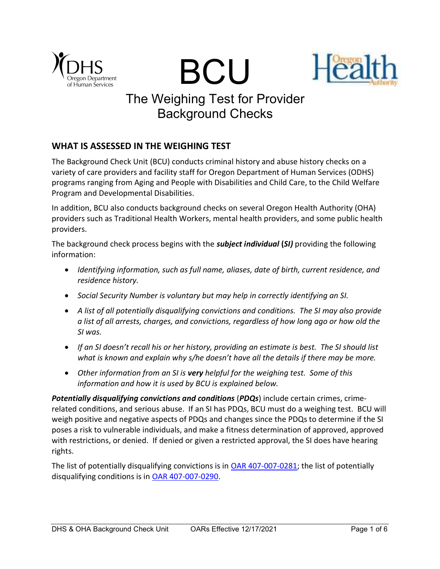





# The Weighing Test for Provider Background Checks

# WHAT IS ASSESSED IN THE WEIGHING TEST

The Background Check Unit (BCU) conducts criminal history and abuse history checks on a variety of care providers and facility staff for Oregon Department of Human Services (ODHS) programs ranging from Aging and People with Disabilities and Child Care, to the Child Welfare Program and Developmental Disabilities.

In addition, BCU also conducts background checks on several Oregon Health Authority (OHA) providers such as Traditional Health Workers, mental health providers, and some public health providers.

The background check process begins with the *subject individual (SI)* providing the following information:

- Identifying information, such as full name, aliases, date of birth, current residence, and residence history.
- Social Security Number is voluntary but may help in correctly identifying an SI.
- A list of all potentially disqualifying convictions and conditions. The SI may also provide a list of all arrests, charges, and convictions, regardless of how long ago or how old the SI was.
- If an SI doesn't recall his or her history, providing an estimate is best. The SI should list what is known and explain why s/he doesn't have all the details if there may be more.
- Other information from an SI is very helpful for the weighing test. Some of this information and how it is used by BCU is explained below.

Potentially disqualifying convictions and conditions (PDQs) include certain crimes, crimerelated conditions, and serious abuse. If an SI has PDQs, BCU must do a weighing test. BCU will weigh positive and negative aspects of PDQs and changes since the PDQs to determine if the SI poses a risk to vulnerable individuals, and make a fitness determination of approved, approved with restrictions, or denied. If denied or given a restricted approval, the SI does have hearing rights.

The list of potentially disqualifying convictions is in OAR 407-007-0281; the list of potentially disqualifying conditions is in OAR 407-007-0290.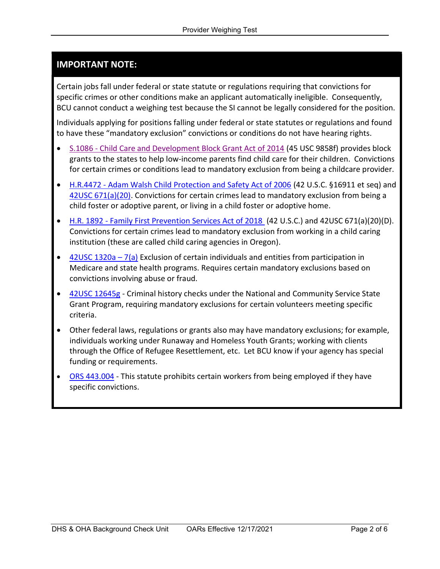# IMPORTANT NOTE:

Certain jobs fall under federal or state statute or regulations requiring that convictions for specific crimes or other conditions make an applicant automatically ineligible. Consequently, BCU cannot conduct a weighing test because the SI cannot be legally considered for the position.

Individuals applying for positions falling under federal or state statutes or regulations and found to have these "mandatory exclusion" convictions or conditions do not have hearing rights.

- S.1086 Child Care and Development Block Grant Act of 2014 (45 USC 9858f) provides block grants to the states to help low-income parents find child care for their children. Convictions for certain crimes or conditions lead to mandatory exclusion from being a childcare provider.
- H.R.4472 Adam Walsh Child Protection and Safety Act of 2006 (42 U.S.C. §16911 et seq) and 42USC 671(a)(20). Convictions for certain crimes lead to mandatory exclusion from being a child foster or adoptive parent, or living in a child foster or adoptive home.
- H.R. 1892 Family First Prevention Services Act of 2018 (42 U.S.C.) and 42USC 671(a)(20)(D). Convictions for certain crimes lead to mandatory exclusion from working in a child caring institution (these are called child caring agencies in Oregon).
- $\bullet$  42USC 1320a 7(a) Exclusion of certain individuals and entities from participation in Medicare and state health programs. Requires certain mandatory exclusions based on convictions involving abuse or fraud.
- 42USC 12645g Criminal history checks under the National and Community Service State Grant Program, requiring mandatory exclusions for certain volunteers meeting specific criteria.
- Other federal laws, regulations or grants also may have mandatory exclusions; for example, individuals working under Runaway and Homeless Youth Grants; working with clients through the Office of Refugee Resettlement, etc. Let BCU know if your agency has special funding or requirements.
- ORS 443.004 This statute prohibits certain workers from being employed if they have specific convictions.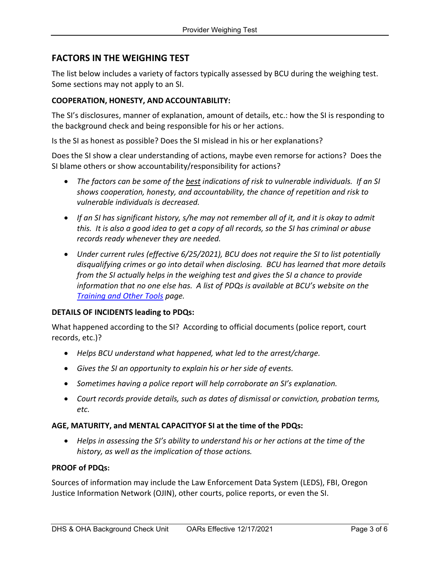# FACTORS IN THE WEIGHING TEST

The list below includes a variety of factors typically assessed by BCU during the weighing test. Some sections may not apply to an SI.

# COOPERATION, HONESTY, AND ACCOUNTABILITY:

The SI's disclosures, manner of explanation, amount of details, etc.: how the SI is responding to the background check and being responsible for his or her actions.

Is the SI as honest as possible? Does the SI mislead in his or her explanations?

Does the SI show a clear understanding of actions, maybe even remorse for actions? Does the SI blame others or show accountability/responsibility for actions?

- The factors can be some of the <u>best</u> indications of risk to vulnerable individuals. If an SI shows cooperation, honesty, and accountability, the chance of repetition and risk to vulnerable individuals is decreased.
- If an SI has significant history, s/he may not remember all of it, and it is okay to admit this. It is also a good idea to get a copy of all records, so the SI has criminal or abuse records ready whenever they are needed.
- Under current rules (effective 6/25/2021), BCU does not require the SI to list potentially disqualifying crimes or go into detail when disclosing. BCU has learned that more details from the SI actually helps in the weighing test and gives the SI a chance to provide information that no one else has. A list of PDQs is available at BCU's website on the **Training and Other Tools page.**

### DETAILS OF INCIDENTS leading to PDQs:

What happened according to the SI? According to official documents (police report, court records, etc.)?

- Helps BCU understand what happened, what led to the arrest/charge.
- Gives the SI an opportunity to explain his or her side of events.
- Sometimes having a police report will help corroborate an SI's explanation.
- Court records provide details, such as dates of dismissal or conviction, probation terms, etc.

### AGE, MATURITY, and MENTAL CAPACITYOF SI at the time of the PDQs:

 Helps in assessing the SI's ability to understand his or her actions at the time of the history, as well as the implication of those actions.

### PROOF of PDQs:

Sources of information may include the Law Enforcement Data System (LEDS), FBI, Oregon Justice Information Network (OJIN), other courts, police reports, or even the SI.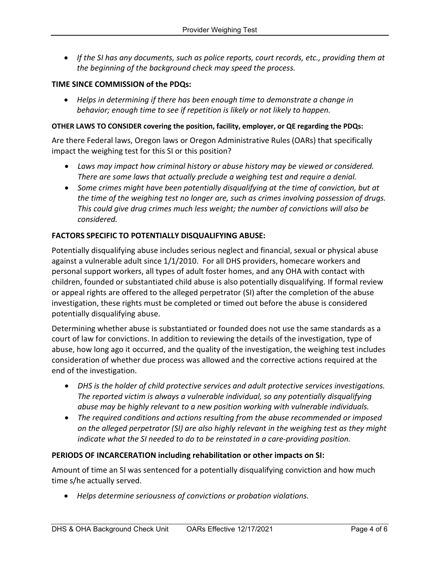If the SI has any documents, such as police reports, court records, etc., providing them at the beginning of the background check may speed the process.

# TIME SINCE COMMISSION of the PDQs:

 Helps in determining if there has been enough time to demonstrate a change in behavior; enough time to see if repetition is likely or not likely to happen.

### OTHER LAWS TO CONSIDER covering the position, facility, employer, or QE regarding the PDQs:

Are there Federal laws, Oregon laws or Oregon Administrative Rules (OARs) that specifically impact the weighing test for this SI or this position?

- Laws may impact how criminal history or abuse history may be viewed or considered. There are some laws that actually preclude a weighing test and require a denial.
- Some crimes might have been potentially disqualifying at the time of conviction, but at the time of the weighing test no longer are, such as crimes involving possession of drugs. This could give drug crimes much less weight; the number of convictions will also be considered.

## FACTORS SPECIFIC TO POTENTIALLY DISQUALIFYING ABUSE:

Potentially disqualifying abuse includes serious neglect and financial, sexual or physical abuse against a vulnerable adult since 1/1/2010. For all DHS providers, homecare workers and personal support workers, all types of adult foster homes, and any OHA with contact with children, founded or substantiated child abuse is also potentially disqualifying. If formal review or appeal rights are offered to the alleged perpetrator (SI) after the completion of the abuse investigation, these rights must be completed or timed out before the abuse is considered potentially disqualifying abuse.

Determining whether abuse is substantiated or founded does not use the same standards as a court of law for convictions. In addition to reviewing the details of the investigation, type of abuse, how long ago it occurred, and the quality of the investigation, the weighing test includes consideration of whether due process was allowed and the corrective actions required at the end of the investigation.

- DHS is the holder of child protective services and adult protective services investigations. The reported victim is always a vulnerable individual, so any potentially disqualifying abuse may be highly relevant to a new position working with vulnerable individuals.
- The required conditions and actions resulting from the abuse recommended or imposed on the alleged perpetrator (SI) are also highly relevant in the weighing test as they might indicate what the SI needed to do to be reinstated in a care-providing position.

### PERIODS OF INCARCERATION including rehabilitation or other impacts on SI:

Amount of time an SI was sentenced for a potentially disqualifying conviction and how much time s/he actually served.

Helps determine seriousness of convictions or probation violations.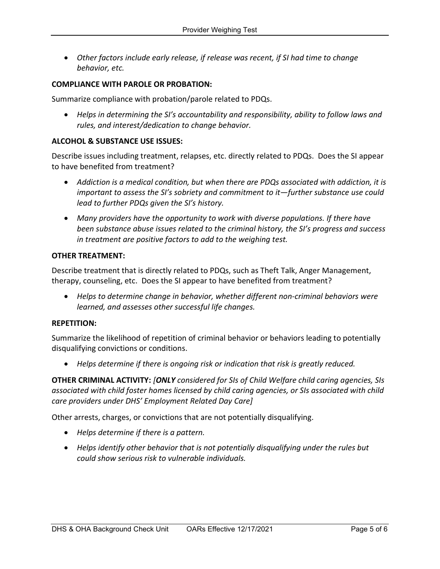Other factors include early release, if release was recent, if SI had time to change behavior, etc.

# COMPLIANCE WITH PAROLE OR PROBATION:

Summarize compliance with probation/parole related to PDQs.

 Helps in determining the SI's accountability and responsibility, ability to follow laws and rules, and interest/dedication to change behavior.

## ALCOHOL & SUBSTANCE USE ISSUES:

Describe issues including treatment, relapses, etc. directly related to PDQs. Does the SI appear to have benefited from treatment?

- Addiction is a medical condition, but when there are PDQs associated with addiction, it is important to assess the SI's sobriety and commitment to it—further substance use could lead to further PDQs given the SI's history.
- Many providers have the opportunity to work with diverse populations. If there have been substance abuse issues related to the criminal history, the SI's progress and success in treatment are positive factors to add to the weighing test.

#### OTHER TREATMENT:

Describe treatment that is directly related to PDQs, such as Theft Talk, Anger Management, therapy, counseling, etc. Does the SI appear to have benefited from treatment?

 Helps to determine change in behavior, whether different non-criminal behaviors were learned, and assesses other successful life changes.

### REPETITION:

Summarize the likelihood of repetition of criminal behavior or behaviors leading to potentially disqualifying convictions or conditions.

Helps determine if there is ongoing risk or indication that risk is greatly reduced.

OTHER CRIMINAL ACTIVITY: [ONLY considered for SIs of Child Welfare child caring agencies, SIs associated with child foster homes licensed by child caring agencies, or SIs associated with child care providers under DHS' Employment Related Day Care]

Other arrests, charges, or convictions that are not potentially disqualifying.

- Helps determine if there is a pattern.
- Helps identify other behavior that is not potentially disqualifying under the rules but could show serious risk to vulnerable individuals.